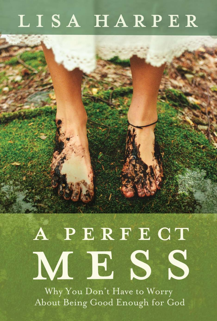## LISA HARPER

# A PERFECT MESS

Why You Don't Have to Worry About Being Good Enough for God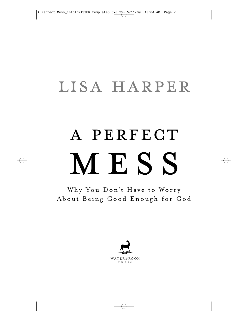# LISA HARPER

# A PERFECT MESS

Why You Don't Have to Worry About Being Good Enough for God

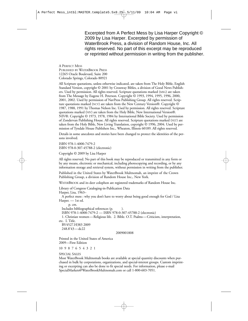Excerpted from A Perfect Mess by Lisa Harper Copyright © 2009 by Lisa Harper. Excerpted by permission of WaterBrook Press, a division of Random House, Inc. All rights reserved. No part of this excerpt may be reproduced or reprinted without permission in writing from the publisher.

A PERFECT MESS PUBLISHED BY WATERBROOK PRESS 12265 Oracle Boulevard, Suite 200 Colorado Springs, Colorado 80921

All Scripture quotations, unless otherwise indicated, are taken from The Holy Bible, English Standard Version, copyright © 2001 by Crossway Bibles, a division of Good News Publishers. Used by permission. All rights reserved. Scripture quotations marked (MSG) are taken from The Message by Eugene H. Peterson. Copyright © 1993, 1994, 1995, 1996, 2000, 2001, 2002. Used by permission of NavPress Publishing Group. All rights reserved. Scripture quotations marked (NCV) are taken from the New Century Version®. Copyright © 1987, 1988, 1991 by Thomas Nelson Inc. Used by permission. All rights reserved. Scripture quotations marked (NIV) are taken from the Holy Bible, New International Version®. NIV®. Copyright © 1973, 1978, 1984 by International Bible Society. Used by permission of Zondervan Publishing House. All rights reserved. Scripture quotations marked (NLT) are taken from the Holy Bible, New Living Translation, copyright © 1996, 2004. Used by permission of Tyndale House Publishers Inc., Wheaton, Illinois 60189. All rights reserved.

Details in some anecdotes and stories have been changed to protect the identities of the persons involved.

ISBN 978-1-4000-7479-2 ISBN 978-0-307-45788-2 (electronic)

Copyright © 2009 by Lisa Harper

All rights reserved. No part of this book may be reproduced or transmitted in any form or by any means, electronic or mechanical, including photocopying and recording, or by any information storage and retrieval system, without permission in writing from the publisher.

Published in the United States by WaterBrook Multnomah, an imprint of the Crown Publishing Group, a division of Random House Inc., New York.

WATERBROOK and its deer colophon are registered trademarks of Random House Inc.

Library of Congress Cataloging-in-Publication Data

Harper, Lisa, 1963–

A perfect mess : why you don't have to worry about being good enough for God / Lisa Harper. — 1st ed.

p. cm.

Includes bibliographical references (p. ).

ISBN 978-1-4000-7479-2 — ISBN 978-0-307-45788-2 (electronic)

1. Christian women—Religious life. 2. Bible. O.T. Psalms—Criticism, interpretation, etc. I. Title.

BV4527.H383 2009 248.8'43—dc22

#### 2009001808

Printed in the United States of America 2009—First Edition

10 9 8 7 6 5 4 3 2 1

#### SPECIAL SALES

Most WaterBrook Multnomah books are available at special quantity discounts when purchased in bulk by corporations, organizations, and special-interest groups. Custom imprinting or excerpting can also be done to fit special needs. For information, please e-mail SpecialMarkets@WaterBrookMultnomah.com or call 1-800-603-7051.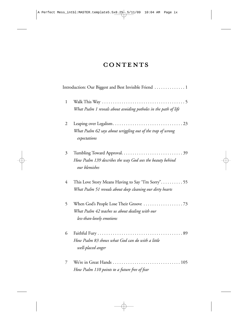### CONTENTS

|                | Introduction: Our Biggest and Best Invisible Friend 1                                                           |
|----------------|-----------------------------------------------------------------------------------------------------------------|
| 1              | What Psalm 1 reveals about avoiding potholes in the path of life                                                |
| $\overline{2}$ | Leaping over Legalism<br>.23<br>What Psalm 62 says about wriggling out of the trap of wrong<br>expectations     |
| 3              | Tumbling Toward Approval.<br>39<br>How Psalm 139 describes the way God sees the beauty behind<br>our blemishes  |
| 4              | This Love Story Means Having to Say "I'm Sorry"55<br>What Psalm 51 reveals about deep cleaning our dirty hearts |
| 5              | What Psalm 42 teaches us about dealing with our<br>less-than-lovely emotions                                    |
| 6              | 89<br>How Psalm 83 shows what God can do with a little<br>well-placed anger                                     |
| 7              | How Psalm 110 points to a future free of fear                                                                   |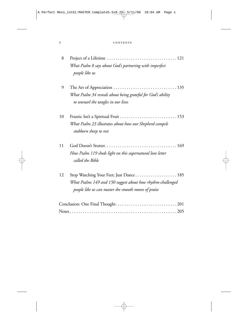- 8 Project of a Lifetime . . . . . . . . . . . . . . . . . . . . . . . . . . . . . . . . 121 *What Psalm 8 says about God's partnering with imperfect people like us*
- 9 The Art of Appreciation . . . . . . . . . . . . . . . . . . . . . . . . . . . . . 135 *What Psalm 34 reveals about being grateful for God's ability to unsnarl the tangles in our lives*
- 10 Frantic Isn't a Spiritual Fruit . . . . . . . . . . . . . . . . . . . . . . . . . . 153 *What Psalm 23 illustrates about how our Shepherd compels stubborn sheep to rest*
- 11 God Doesn't Stutter. . . . . . . . . . . . . . . . . . . . . . . . . . . . . . . . . 169 *How Psalm 119 sheds light on this supernatural love letter called the Bible*
- 12 Stop Watching Your Feet; Just Dance . . . . . . . . . . . . . . . . . . . 185 *What Psalms 149 and 150 suggest about how rhythm-challenged people like us can master the smooth moves of praise*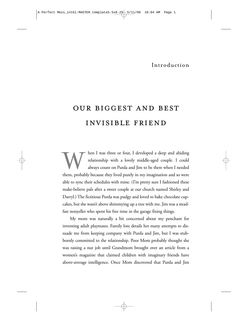#### Introduction

## Our Biggest and Best Invisible Friend

hen I was three or four, I developed a deep and abiding<br>relationship with a lovely middle-aged couple. I could<br>always count on Purda and Jim to be there when I needed<br>them, probably because they lived purely in my imaginat relationship with a lovely middle-aged couple. I could always count on Purda and Jim to be there when I needed them, probably because they lived purely in my imagination and so were able to sync their schedules with mine. (I'm pretty sure I fashioned these make-believe pals after a sweet couple at our church named Shirley and Darryl.) The fictitious Purda was pudgy and loved to bake chocolate cupcakes, but she wasn't above shimmying up a tree with me. Jim was a steadfast nonyeller who spent his free time in the garage fixing things.

My mom was naturally a bit concerned about my penchant for inventing adult playmates. Family lore details her many attempts to dissuade me from keeping company with Purda and Jim, but I was stubbornly committed to the relationship. Poor Mom probably thought she was raising a nut job until Grandmom brought over an article from a women's magazine that claimed children with imaginary friends have above-average intelligence. Once Mom discovered that Purda and Jim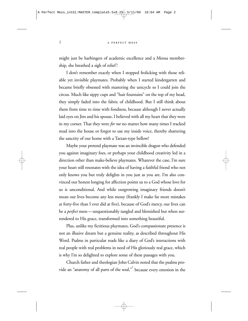might just be harbingers of academic excellence and a Mensa membership, she breathed a sigh of relief !

I don't remember exactly when I stopped frolicking with those reliable yet invisible playmates. Probably when I started kindergarten and became briefly obsessed with mastering the unicycle so I could join the circus. Much like sippy cups and "hair fountains" on the top of my head, they simply faded into the fabric of childhood. But I still think about them from time to time with fondness, because although I never actually laid eyes on Jim and his spouse, I believed with all my heart that they were in my corner. That they were *for me* no matter how many times I tracked mud into the house or forgot to use my inside voice, thereby shattering the sanctity of our home with a Tarzan-type bellow!

Maybe your pretend playmate was an invincible dragon who defended you against imaginary foes, or perhaps your childhood creativity led in a direction other than make-believe playmates. Whatever the case, I'm sure your heart still resonates with the idea of having a faithful friend who not only knows you but truly delights in you just as you are. I'm also convinced our honest longing for affection points us to a God whose love for us is unconditional. And while outgrowing imaginary friends doesn't mean our lives become any less messy (frankly I make far more mistakes at forty-five than I ever did at five), because of God's mercy, our lives can be a *perfect* mess—unquestionably tangled and blemished but when surrendered to His grace, transformed into something beautiful.

Plus, unlike my fictitious playmates, God's compassionate presence is not an illusive dream but a genuine reality, as described throughout His Word. Psalms in particular reads like a diary of God's interactions with real people with real problems in need of His gloriously real grace, which is why I'm so delighted to explore some of these passages with you.

Church father and theologian John Calvin noted that the psalms provide an "anatomy of all parts of the soul," $^{\rm l}$  because every emotion in the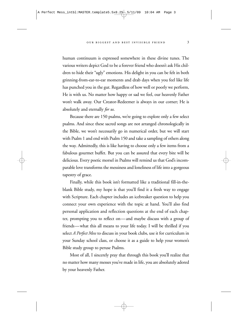human continuum is expressed somewhere in these divine tunes. The various writers depict God to be a forever friend who doesn't ask His children to hide their "ugly" emotions. His delight in you can be felt in both grinning-from-ear-to-ear moments and drab days when you feel like life has punched you in the gut. Regardless of how well or poorly we perform, He is with us. No matter how happy or sad we feel, our heavenly Father won't walk away. Our Creator-Redeemer is always in our corner; He is absolutely and eternally *for us.*

Because there are 150 psalms, we're going to explore only a few select psalms. And since these sacred songs are not arranged chronologically in the Bible, we won't necessarily go in numerical order, but we will start with Psalm 1 and end with Psalm 150 and take a sampling of others along the way. Admittedly, this is like having to choose only a few items from a fabulous gourmet buffet. But you can be assured that every bite will be delicious. Every poetic morsel in Psalms will remind us that God's incomparable love transforms the messiness and loneliness of life into a gorgeous tapestry of grace.

Finally, while this book isn't formatted like a traditional fill-in-theblank Bible study, my hope is that you'll find it a fresh way to engage with Scripture. Each chapter includes an icebreaker question to help you connect your own experience with the topic at hand. You'll also find personal application and reflection questions at the end of each chapter, prompting you to reflect on—and maybe discuss with a group of friends—what this all means to your life today. I will be thrilled if you select *A Perfect Mess* to discuss in your book clubs, use it for curriculum in your Sunday school class, or choose it as a guide to help your women's Bible study group to peruse Psalms.

Most of all, I sincerely pray that through this book you'll realize that no matter how many messes you've made in life, you are absolutely adored by your heavenly Father.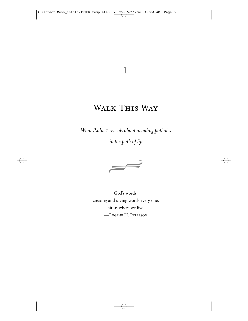### Walk This Way

*What Psalm 1 reveals about avoiding potholes*

*in the path of life*



God's words, creating and saving words every one, hit us where we live. —Eugene H. Peterson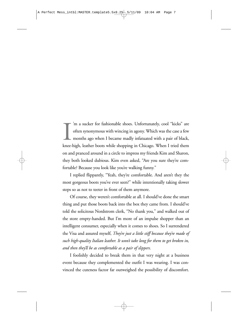I'm a sucker for fashionable shoes. Unfortunately, cool "kicks" are often synonymous with wincing in agony. Which was the case a few months ago when I became madly infatuated with a pair of black, knee-high, leather boots 'm a sucker for fashionable shoes. Unfortunately, cool "kicks" are often synonymous with wincing in agony. Which was the case a few months ago when I became madly infatuated with a pair of black, on and pranced around in a circle to impress my friends Kim and Sharon, they both looked dubious. Kim even asked, "Are you sure they're comfortable? Because you look like you're walking funny."

I replied flippantly, "Yeah, they're comfortable. And aren't they the most gorgeous boots you've ever seen?" while intentionally taking slower steps so as not to teeter in front of them anymore.

Of course, they weren't comfortable at all. I should've done the smart thing and put those boots back into the box they came from. I should've told the solicitous Nordstrom clerk, "No thank you," and walked out of the store empty-handed. But I'm more of an impulse shopper than an intelligent consumer, especially when it comes to shoes. So I surrendered the Visa and assured myself, *They're just a little stiff because they're made of such high-quality Italian leather. It won't take long for them to get broken in, and then they'll be as comfortable as a pair of slippers.*

I foolishly decided to break them in that very night at a business event because they complemented the outfit I was wearing. I was convinced the cuteness factor far outweighed the possibility of discomfort.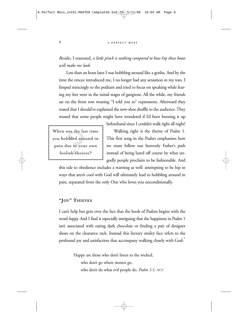*Besides,* I reasoned, *a little pinch is nothing compared to how hip these boots will make me look.*

Less than an hour later I was hobbling around like a geisha. And by the time the emcee introduced me, I no longer had any sensation in my toes. I limped mincingly to the podium and tried to focus on speaking while fearing my feet were in the initial stages of gangrene. All the while, my friends sat on the front row wearing "I told you so" expressions. Afterward they teased that I should've explained the new-shoe shuffle to the audience. They mused that some people might have wondered if I'd been boozing it up

ed that I sho<br>ed that son<br>was the las<br>bbled aro<br>lue to you<br>lish choic When was the last time you hobbled around in pain due to your own foolish choices?

Walking right is the theme of Psalm 1. This first song in the Psalter emphasizes how we must follow our heavenly Father's path instead of being lured off course by what ungodly people proclaim to be fashionable. And

beforehand since I couldn't walk right all night!

this ode to obedience includes a warning as well: attempting to be hip in ways that aren't cool with God will ultimately lead to hobbling around in pain, separated from the only One who loves you unconditionally.

#### **"JOY" THIEVES**

I can't help but grin over the fact that the book of Psalms begins with the word *happy.* And I find it especially intriguing that the happiness in Psalm 1 isn't associated with eating dark chocolate or finding a pair of designer shoes on the clearance rack. Instead this literary smiley face refers to the profound joy and satisfaction that accompany walking closely with God:<sup>1</sup>

> Happy are those who don't listen to the wicked, who don't go where sinners go, who don't do what evil people do. *Psalm 1:1, NCV*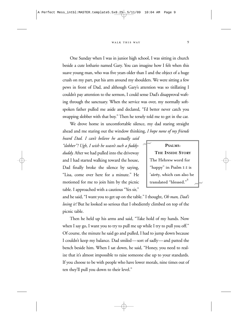One Sunday when I was in junior high school, I was sitting in church beside a cute lothario named Gary. You can imagine how I felt when this suave young man, who was five years older than I and the object of a huge crush on my part, put his arm around my shoulders. We were sitting a few pews in front of Dad, and although Gary's attention was so titillating I couldn't pay attention to the sermon, I could sense Dad's disapproval wafting through the sanctuary. When the service was over, my normally softspoken father pulled me aside and declared, "I'd better never catch you swapping slobber with that boy." Then he tersely told me to get in the car.

We drove home in uncomfortable silence, my dad staring straight ahead and me staring out the window thinking, *I hope none of my friends*

*heard Dad. I can't believe he actually said "slobber"! Ugh, I wish he wasn't such a fuddyduddy.* After we had pulled into the driveway and I had started walking toward the house, Dad finally broke the silence by saying, "Lisa, come over here for a minute." He motioned for me to join him by the picnic table. I approached with a cautious "Yes sir,"

#### $=$ **PSALMS: THE INSIDE STORY** The Hebrew word for "happy" in Psalm 1:1 is 'ašrēy, which can also be translated "blessed."<sup>2</sup>

and he said, "I want you to get up on the table." I thought, *Oh man, Dad's losing it!* But he looked so serious that I obediently climbed on top of the picnic table.

Then he held up his arms and said, "Take hold of my hands. Now when I say go, I want you to try to pull me up while I try to pull you off." Of course, the minute he said go and pulled, I had to jump down because I couldn't keep my balance. Dad smiled—sort of sadly—and patted the bench beside him. When I sat down, he said, "Honey, you need to realize that it's almost impossible to raise someone else up to your standards. If you choose to be with people who have lower morals, nine times out of ten they'll pull you down to their level."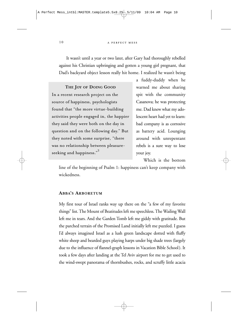10 A PERFECT MESS

It wasn't until a year or two later, after Gary had thoroughly rebelled against his Christian upbringing and gotten a young girl pregnant, that Dad's backyard object lesson really hit home. I realized he wasn't being

**THE JOY OF DOING GOOD** In a recent research project on the source of happiness, psychologists found that "the more virtue-building activities people engaged in, the happier they said they were both on the day in question and on the following day." But they noted with some surprise, "there was no relationship between pleasureseeking and happiness."<sup>3</sup>

a fuddy-duddy when he warned me about sharing spit with the community Casanova; he was protecting me. Dad knew what my adolescent heart had yet to learn: bad company is as corrosive as battery acid. Lounging around with unrepentant rebels is a sure way to lose your joy.

Which is the bottom

line of the beginning of Psalm 1: happiness can't keep company with wickedness.

#### **ABBA'S ARBORETUM**

My first tour of Israel ranks way up there on the "a few of my favorite things" list. The Mount of Beatitudes left me speechless. The Wailing Wall left me in tears. And the Garden Tomb left me giddy with gratitude. But the parched terrain of the Promised Land initially left me puzzled. I guess I'd always imagined Israel as a lush green landscape dotted with fluffy white sheep and bearded guys playing harps under big shade trees (largely due to the influence of flannel-graph lessons in Vacation Bible School). It took a few days after landing at the Tel Aviv airport for me to get used to the wind-swept panorama of thornbushes, rocks, and scruffy little acacia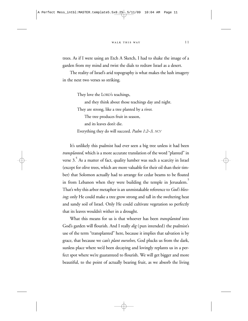trees. As if I were using an Etch A Sketch, I had to shake the image of a garden from my mind and twist the dials to redraw Israel as a desert.

The reality of Israel's arid topography is what makes the lush imagery in the next two verses so striking.

They love the LORD's teachings,

and they think about those teachings day and night.

They are strong, like a tree planted by a river.

The tree produces fruit in season,

and its leaves don't die.

Everything they do will succeed. *Psalm 1:2–3, NCV*

It's unlikely this psalmist had ever seen a big tree unless it had been *transplanted,* which is a more accurate translation of the word "planted" in verse  $3.^4$  As a matter of fact, quality lumber was such a scarcity in Israel (except for olive trees, which are more valuable for their oil than their timber) that Solomon actually had to arrange for cedar beams to be floated in from Lebanon when they were building the temple in Jerusalem.<sup>5</sup> That's why this arbor metaphor is an unmistakable reference to *God's blessing;* only He could make a tree grow strong and tall in the sweltering heat and sandy soil of Israel. Only He could cultivate vegetation so perfectly that its leaves wouldn't wither in a drought.

What this means for us is that whoever has been *transplanted* into God's garden will flourish. And I really *dig* (pun intended) the psalmist's use of the term "transplanted" here, because it implies that salvation is by grace, that because we can't *plant ourselves,* God plucks us from the dark, sunless place where we'd been decaying and lovingly replants us in a perfect spot where we're guaranteed to flourish. We will get bigger and more beautiful, to the point of actually bearing fruit, as we absorb the living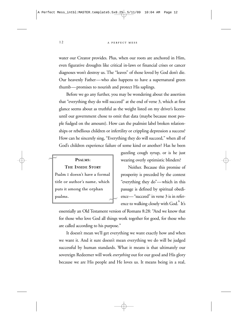water our Creator provides. Plus, when our roots are anchored in Him, even figurative droughts like critical in-laws or financial crises or cancer diagnoses won't destroy us. The "leaves" of those loved by God don't die. Our heavenly Father—who also happens to have a supernatural green thumb—promises to nourish and protect His saplings.

Before we go any further, you may be wondering about the assertion that "everything they do will succeed" at the end of verse 3, which at first glance seems about as truthful as the weight listed on my driver's license until our government chose to omit that data (maybe because most people fudged on the amount). How can the psalmist label broken relationships or rebellious children or infertility or crippling depression a success? How can he sincerely sing, "Everything they do will succeed," when all of God's children experience failure of some kind or another? Has he been

#### **PSALMS:**

 $-$ 

**THE INSIDE STORY** Psalm 1 doesn't have a formal title or author's name, which puts it among the orphan psalms.  $\downarrow$  guzzling cough syrup, or is he just wearing overly optimistic blinders?

Neither. Because this promise of prosperity is preceded by the context "everything they do"—which in this passage is defined by spiritual obedience—"succeed" in verse 3 is in reference to walking closely with God.<sup>6</sup> It's

essentially an Old Testament version of Romans 8:28: "And we know that for those who love God all things work together for good, for those who are called according to his purpose."

It doesn't mean we'll get everything we want exactly how and when we want it. And it sure doesn't mean everything we do will be judged successful by human standards. What it means is that ultimately our sovereign Redeemer will work *everything* out for our good and His glory because we are His people and He loves us. It means being in a real,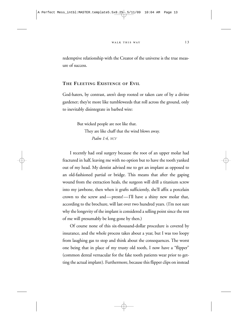redemptive relationship with the Creator of the universe is the true measure of success.

#### **THE FLEETING EXISTENCE OF EVIL**

God-haters, by contrast, aren't deep rooted or taken care of by a divine gardener; they're more like tumbleweeds that roll across the ground, only to inevitably disintegrate in barbed wire:

> But wicked people are not like that. They are like chaff that the wind blows away. *Psalm 1:4, NCV*

I recently had oral surgery because the root of an upper molar had fractured in half, leaving me with no option but to have the tooth yanked out of my head. My dentist advised me to get an implant as opposed to an old-fashioned partial or bridge. This means that after the gaping wound from the extraction heals, the surgeon will drill a titanium screw into my jawbone, then when it grafts sufficiently, she'll affix a porcelain crown to the screw and—presto!—I'll have a shiny new molar that, according to the brochure, will last over two hundred years. (I'm not sure why the longevity of the implant is considered a selling point since the rest of me will presumably be long gone by then.)

Of course none of this six-thousand-dollar procedure is covered by insurance, and the whole process takes about a year, but I was too loopy from laughing gas to stop and think about the consequences. The worst one being that in place of my trusty old tooth, I now have a "flipper" (common dental vernacular for the fake tooth patients wear prior to getting the actual implant). Furthermore, because this flipper clips on instead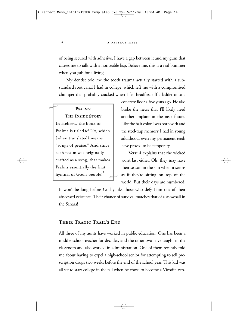of being secured with adhesive, I have a gap between it and my gum that causes me to talk with a noticeable lisp. Believe me, this is a real bummer when you gab for a living!

My dentist told me the tooth trauma actually started with a substandard root canal I had in college, which left me with a compromised chomper that probably cracked when I fell headfirst off a ladder onto a

#### **PSALMS:**

**THE INSIDE STORY** In Hebrew, the book of Psalms is titled *tehillim,* which (when translated) means "songs of praise." And since each psalm was originally crafted as a song, that makes Psalms essentially the first hymnal of God's people!  $\downarrow$  concrete floor a few years ago. He also broke the news that I'll likely need another implant in the near future. Like the hair color I was born with and the steel-trap memory I had in young adulthood, even my permanent teeth have proved to be temporary.

Verse 4 explains that the wicked won't last either. Oh, they may have their season in the sun when it seems as if they're sitting on top of the world. But their days are numbered.

It won't be long before God yanks those who defy Him out of their abscessed existence. Their chance of survival matches that of a snowball in the Sahara!

#### **THEIR TRAGIC TRAIL'S END**

All three of my aunts have worked in public education. One has been a middle-school teacher for decades, and the other two have taught in the classroom and also worked in administration. One of them recently told me about having to expel a high-school senior for attempting to sell prescription drugs two weeks before the end of the school year. This kid was all set to start college in the fall when he chose to become a Vicodin ven-

 $-$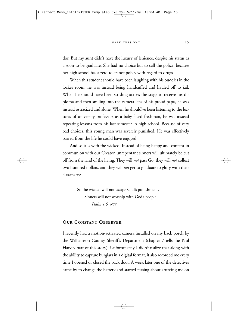dor. But my aunt didn't have the luxury of lenience, despite his status as a soon-to-be graduate. She had no choice but to call the police, because her high school has a zero-tolerance policy with regard to drugs.

When this student should have been laughing with his buddies in the locker room, he was instead being handcuffed and hauled off to jail. When he should have been striding across the stage to receive his diploma and then smiling into the camera lens of his proud papa, he was instead ostracized and alone. When he should've been listening to the lectures of university professors as a baby-faced freshman, he was instead repeating lessons from his last semester in high school. Because of very bad choices, this young man was severely punished. He was effectively barred from the life he could have enjoyed.

And so it is with the wicked. Instead of being happy and content in communion with our Creator, unrepentant sinners will ultimately be cut off from the land of the living. They will *not* pass Go, they will *not* collect two hundred dollars, and they will *not* get to graduate to glory with their classmates:

> So the wicked will not escape God's punishment. Sinners will not worship with God's people. *Psalm 1:5, NCV*

#### **OUR CONSTANT OBSERVER**

I recently had a motion-activated camera installed on my back porch by the Williamson County Sheriff's Department (chapter 7 tells the Paul Harvey part of this story). Unfortunately I didn't realize that along with the ability to capture burglars in a digital format, it also recorded me every time I opened or closed the back door. A week later one of the detectives came by to change the battery and started teasing about arresting me on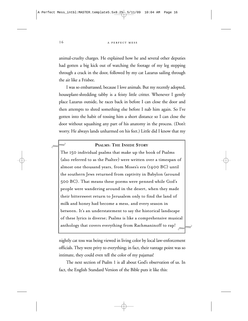animal-cruelty charges. He explained how he and several other deputies had gotten a big kick out of watching the footage of my leg stepping through a crack in the door, followed by my cat Lazarus sailing through the air like a Frisbee.

I was so embarrassed, because I love animals. But my recently adopted, houseplant-shredding tabby is a feisty little critter. Whenever I gently place Lazarus outside, he races back in before I can close the door and then attempts to shred something else before I nab him again. So I've gotten into the habit of tossing him a short distance so I can close the door without squashing any part of his anatomy in the process. (Don't worry. He always lands unharmed on his feet.) Little did I know that my

#### **PSALMS: THE INSIDE STORY**

The 150 individual psalms that make up the book of Psalms (also referred to as the Psalter) were written over a timespan of almost one thousand years, from Moses's era (1400 BC) until the southern Jews returned from captivity in Babylon (around 500 BC). That means these poems were penned while God's people were wandering around in the desert, when they made their bittersweet return to Jerusalem only to find the land of milk and honey had become a mess, and every season in between. It's an understatement to say the historical landscape of these lyrics is diverse; Psalms is like a comprehensive musical anthology that covers everything from Rachmaninoff to rap!

nightly cat toss was being viewed in living color by local law-enforcement officials. They were privy to everything; in fact, their vantage point was so intimate, they could even tell the color of my pajamas!

The next section of Psalm 1 is all about God's observation of us. In fact, the English Standard Version of the Bible puts it like this:

-<br>-<br>-<br>-<br>-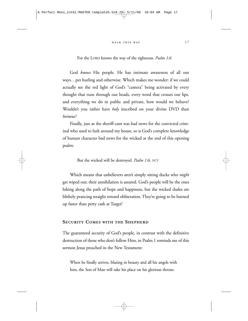For the LORD knows the way of the righteous. *Psalm 1:6*

God *knows* His people. He has intimate awareness of all our ways…pet hurling and otherwise. Which makes me wonder: if we could actually see the red light of God's "camera" being activated by every thought that runs through our heads, every word that crosses our lips, and everything we do in public and private, how would we behave? Wouldn't you rather have *holy* inscribed on your divine DVD than *heinous*?

Finally, just as the sheriff-cam was bad news for the convicted criminal who used to lurk around my house, so is God's complete knowledge of human character bad news for the wicked at the end of this opening psalm:

But the wicked will be destroyed. *Psalm 1:6, NCV*

Which means that unbelievers aren't simply sitting ducks who *might* get wiped out; their annihilation is assured. God's people will be the ones hiking along the path of hope and happiness, but the wicked dudes are blithely prancing straight toward obliteration. They're going to be burned up faster than petty cash at Target!

#### **SECURITY COMES WITH THE SHEPHERD**

The guaranteed security of God's people, in contrast with the definitive destruction of those who don't follow Him, in Psalm 1 reminds me of this sermon Jesus preached in the New Testament:

When he finally arrives, blazing in beauty and all his angels with him, the Son of Man will take his place on his glorious throne.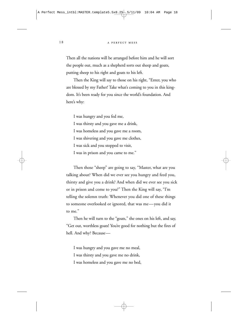Then all the nations will be arranged before him and he will sort the people out, much as a shepherd sorts out sheep and goats, putting sheep to his right and goats to his left.

Then the King will say to those on his right, "Enter, you who are blessed by my Father! Take what's coming to you in this kingdom. It's been ready for you since the world's foundation. And here's why:

I was hungry and you fed me, I was thirsty and you gave me a drink, I was homeless and you gave me a room, I was shivering and you gave me clothes, I was sick and you stopped to visit, I was in prison and you came to me."

Then those "sheep" are going to say, "Master, what are you talking about? When did we ever see you hungry and feed you, thirsty and give you a drink? And when did we ever see you sick or in prison and come to you?" Then the King will say, "I'm telling the solemn truth: Whenever you did one of these things to someone overlooked or ignored, that was me—you did it to me."

Then he will turn to the "goats," the ones on his left, and say, "Get out, worthless goats! You're good for nothing but the fires of hell. And why? Because—

I was hungry and you gave me no meal, I was thirsty and you gave me no drink, I was homeless and you gave me no bed,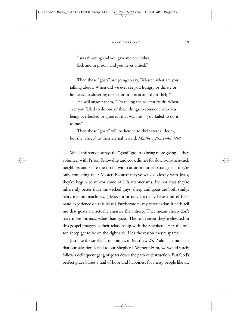I was shivering and you gave me no clothes, Sick and in prison, and you never visited."

Then those "goats" are going to say, "Master, what are you talking about? When did we ever see you hungry or thirsty or homeless or shivering or sick or in prison and didn't help?"

He will answer them, "I'm telling the solemn truth: Whenever you failed to do one of these things to someone who was being overlooked or ignored, that was me—you failed to do it to me."

Then those "goats" will be herded to their eternal doom, but the "sheep" to their eternal reward. *Matthew 25:31–46, MSG*

While this story portrays the "good" group as being more giving—they volunteer with Prison Fellowship and cook dinner for down-on-their-luck neighbors and share their soda with cotton-mouthed strangers—they're only emulating their Master. Because they've walked closely with Jesus, they've begun to mirror some of His mannerisms. It's not that they're inherently better than the wicked guys; sheep and goats are both stinky, hairy manure machines. (Believe it or not, I actually have a bit of firsthand experience on this issue.) Furthermore, my veterinarian friends tell me that goats are actually smarter than sheep. That means sheep don't have more intrinsic value than goats. The real reason they're elevated in this gospel imagery is their relationship with the Shepherd. He's the reason sheep get to be on the right side. He's the reason they're spared.

Just like the smelly farm animals in Matthew 25, Psalm 1 reminds us that our salvation is tied to our Shepherd. Without Him, we would surely follow a delinquent gang of goats down the path of destruction. But God's perfect grace blazes a trail of hope and happiness for messy people like us.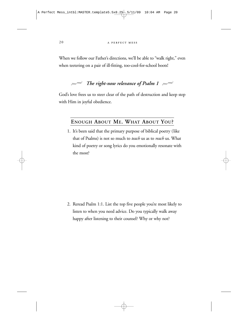When we follow our Father's directions, we'll be able to "walk right," even when teetering on a pair of ill-fitting, too-cool-for-school boots!

 $\equiv$  The right-now relevance of Psalm 1  $\equiv$ 

God's love frees us to steer clear of the path of destruction and keep step with Him in joyful obedience.

#### **ENOUGH ABOUT ME. WHAT ABOUT YOU?**

1. It's been said that the primary purpose of biblical poetry (like that of Psalms) is not so much to *teach* us as to *reach* us. What kind of poetry or song lyrics do you emotionally resonate with the most?

2. Reread Psalm 1:1. List the top five people you're most likely to listen to when you need advice. Do you typically walk away happy after listening to their counsel? Why or why not?